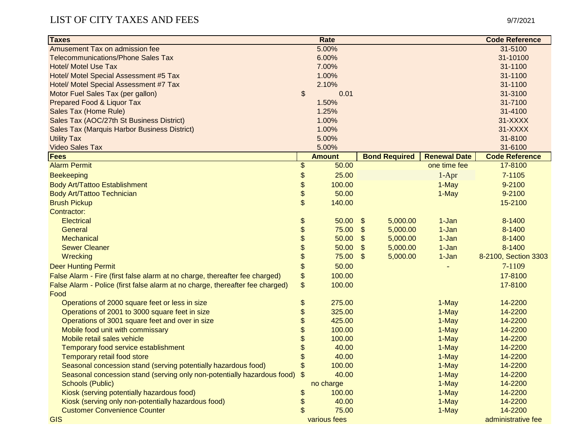## LIST OF CITY TAXES AND FEES 9/7/2021

| <b>Taxes</b>                                                                  |               | Rate          |                    |                      |                     | <b>Code Reference</b> |
|-------------------------------------------------------------------------------|---------------|---------------|--------------------|----------------------|---------------------|-----------------------|
| Amusement Tax on admission fee                                                |               | 5.00%         |                    |                      |                     | 31-5100               |
| <b>Telecommunications/Phone Sales Tax</b>                                     |               | 6.00%         | 31-10100           |                      |                     |                       |
| <b>Hotel/ Motel Use Tax</b>                                                   |               | 7.00%         |                    |                      |                     | 31-1100               |
| Hotel/ Motel Special Assessment #5 Tax                                        |               | 1.00%         |                    |                      |                     | 31-1100               |
| Hotel/ Motel Special Assessment #7 Tax                                        |               | 2.10%         |                    |                      |                     | 31-1100               |
| Motor Fuel Sales Tax (per gallon)                                             | $\frac{1}{2}$ | 0.01          | 31-3100            |                      |                     |                       |
| Prepared Food & Liquor Tax                                                    |               | 1.50%         | 31-7100            |                      |                     |                       |
| Sales Tax (Home Rule)                                                         |               | 1.25%         | 31-4100            |                      |                     |                       |
| Sales Tax (AOC/27th St Business District)                                     |               | 1.00%         | 31-XXXX            |                      |                     |                       |
| Sales Tax (Marquis Harbor Business District)                                  |               | 1.00%         | 31-XXXX            |                      |                     |                       |
| <b>Utility Tax</b>                                                            |               | 5.00%         | 31-8100            |                      |                     |                       |
| <b>Video Sales Tax</b>                                                        |               | 5.00%         | 31-6100            |                      |                     |                       |
| <b>Fees</b>                                                                   |               | <b>Amount</b> |                    | <b>Bond Required</b> | <b>Renewal Date</b> | <b>Code Reference</b> |
| <b>Alarm Permit</b>                                                           | \$            | 50.00         |                    |                      | one time fee        | 17-8100               |
| <b>Beekeeping</b>                                                             | \$            | 25.00         |                    |                      | $1-Apr$             | 7-1105                |
| <b>Body Art/Tattoo Establishment</b>                                          | \$            | 100.00        |                    |                      | 1-May               | 9-2100                |
| Body Art/Tattoo Technician                                                    | \$            | 50.00         |                    |                      | 1-May               | 9-2100                |
| <b>Brush Pickup</b>                                                           | \$            | 140.00        |                    |                      |                     | 15-2100               |
| Contractor:                                                                   |               |               |                    |                      |                     |                       |
| <b>Electrical</b>                                                             | \$            | 50.00         | \$                 | 5,000.00             | $1-Jan$             | 8-1400                |
| General                                                                       | \$            | 75.00         | \$                 | 5,000.00             | 1-Jan               | 8-1400                |
| <b>Mechanical</b>                                                             | \$            | 50.00         | $\mathfrak{F}$     | 5,000.00             | 1-Jan               | 8-1400                |
| <b>Sewer Cleaner</b>                                                          | \$            | 50.00         | $\mathfrak{F}$     | 5,000.00             | $1-Jan$             | 8-1400                |
| Wrecking                                                                      | \$            | 75.00         | \$                 | 5,000.00             | $1-Jan$             | 8-2100, Section 3303  |
| <b>Deer Hunting Permit</b>                                                    | \$            | 50.00         |                    |                      |                     | 7-1109                |
| False Alarm - Fire (first false alarm at no charge, thereafter fee charged)   | \$            | 100.00        |                    |                      |                     | 17-8100               |
| False Alarm - Police (first false alarm at no charge, thereafter fee charged) | \$            | 100.00        |                    |                      |                     | 17-8100               |
| Food                                                                          |               |               |                    |                      |                     |                       |
| Operations of 2000 square feet or less in size                                | \$            | 275.00        |                    |                      | 1-May               | 14-2200               |
| Operations of 2001 to 3000 square feet in size                                | \$            | 325.00        |                    |                      | 1-May               | 14-2200               |
| Operations of 3001 square feet and over in size                               | \$            | 425.00        |                    |                      | 1-May               | 14-2200               |
| Mobile food unit with commissary                                              | \$            | 100.00        |                    |                      | 1-May               | 14-2200               |
| Mobile retail sales vehicle                                                   | \$            | 100.00        |                    |                      | 1-May               | 14-2200               |
| Temporary food service establishment                                          | \$            | 40.00         |                    |                      | 1-May               | 14-2200               |
| Temporary retail food store                                                   | \$            | 40.00         |                    |                      | 1-May               | 14-2200               |
| Seasonal concession stand (serving potentially hazardous food)                | \$            | 100.00        |                    |                      | 1-May               | 14-2200               |
| Seasonal concession stand (serving only non-potentially hazardous food)       | \$            | 40.00         |                    |                      | 1-May               | 14-2200               |
| <b>Schools (Public)</b>                                                       |               | no charge     |                    |                      | 1-May               | 14-2200               |
| Kiosk (serving potentially hazardous food)                                    | \$            | 100.00        |                    |                      | 1-May               | 14-2200               |
| Kiosk (serving only non-potentially hazardous food)                           | \$            | 40.00         |                    |                      | 1-May               | 14-2200               |
| <b>Customer Convenience Counter</b>                                           |               | 75.00         |                    |                      | 1-May               | 14-2200               |
| <b>GIS</b>                                                                    |               | various fees  | administrative fee |                      |                     |                       |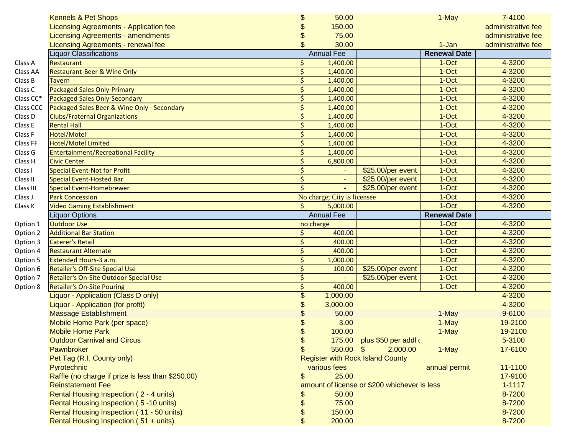|           | <b>Kennels &amp; Pet Shops</b>                    | \$      | 50.00                                        |                                         | 1-May               | 7-4100             |
|-----------|---------------------------------------------------|---------|----------------------------------------------|-----------------------------------------|---------------------|--------------------|
|           | Licensing Agreements - Application fee            | \$      | 150.00                                       |                                         |                     | administrative fee |
|           | <b>Licensing Agreements - amendments</b>          | \$      | 75.00                                        |                                         |                     | administrative fee |
|           | Licensing Agreements - renewal fee                | \$      | 30.00                                        |                                         | 1-Jan               | administrative fee |
|           | iquor Classifications                             |         | <b>Annual Fee</b>                            |                                         | <b>Renewal Date</b> |                    |
| Class A   | Restaurant                                        | Ś.      | 1,400.00                                     |                                         | 1-Oct               | 4-3200             |
| Class AA  | Restaurant-Beer & Wine Only                       | Ŝ.      | 1,400.00                                     |                                         | $1-Oct$             | 4-3200             |
| Class B   | Tavern                                            | Ŝ.      | 1,400.00                                     |                                         | 1-Oct               | 4-3200             |
| Class C   | Packaged Sales Only-Primary                       | \$      | 1,400.00                                     |                                         | 1-Oct               | 4-3200             |
| Class CC* | Packaged Sales Only-Secondary                     | $\zeta$ | 1,400.00                                     |                                         | 1-Oct               | 4-3200             |
| Class CCC | Packaged Sales Beer & Wine Only - Secondary       | $\zeta$ | 1,400.00                                     |                                         | 1-Oct               | 4-3200             |
| Class D   | <b>Clubs/Fraternal Organizations</b>              | \$      | 1,400.00                                     |                                         | 1-Oct               | 4-3200             |
| Class E   | <b>Rental Hall</b>                                | \$      | 1,400.00                                     |                                         | 1-Oct               | 4-3200             |
| Class F   | Hotel/Motel                                       | \$      | 1,400.00                                     |                                         | 1-Oct               | 4-3200             |
| Class FF  | <b>Hotel/Motel Limited</b>                        | $\zeta$ | 1,400.00                                     |                                         | 1-Oct               | 4-3200             |
| Class G   | Entertainment/Recreational Facility               | Ś.      | 1,400.00                                     |                                         | 1-Oct               | 4-3200             |
| Class H   | <b>Civic Center</b>                               | \$      | 6,800.00                                     |                                         | 1-Oct               | 4-3200             |
| Class I   | <b>Special Event-Not for Profit</b>               | \$      |                                              | \$25.00/per event                       | 1-Oct               | 4-3200             |
| Class II  | <b>Special Event-Hosted Bar</b>                   | $\zeta$ |                                              | \$25.00/per event                       | 1-Oct               | 4-3200             |
| Class III | <b>Special Event-Homebrewer</b>                   | \$      |                                              | \$25.00/per event                       | 1-Oct               | 4-3200             |
| Class J   | <b>Park Concession</b>                            |         | No charge; City is licensee                  |                                         | 1-Oct               | 4-3200             |
| Class K   | <b>Video Gaming Establishment</b>                 | Ŝ.      | 5,000.00                                     |                                         | 1-Oct               | 4-3200             |
|           | Liquor Options                                    |         | <b>Annual Fee</b>                            |                                         | <b>Renewal Date</b> |                    |
| Option 1  | <b>Outdoor Use</b>                                |         | no charge                                    |                                         | 1-Oct               | 4-3200             |
| Option 2  | <b>Additional Bar Station</b>                     | \$      | 400.00                                       |                                         | 1-Oct               | 4-3200             |
| Option 3  | <b>Caterer's Retail</b>                           | \$      | 400.00                                       |                                         | 1-Oct               | 4-3200             |
| Option 4  | <b>Restaurant Alternate</b>                       | $\zeta$ | 400.00                                       |                                         | 1-Oct               | 4-3200             |
| Option 5  | Extended Hours-3 a.m.                             | \$      | 1,000.00                                     |                                         | 1-Oct               | 4-3200             |
| Option 6  | Retailer's Off-Site Special Use                   | \$      | 100.00                                       | \$25.00/per event                       | 1-Oct               | 4-3200             |
| Option 7  | Retailer's On-Site Outdoor Special Use            | $\zeta$ |                                              | \$25.00/per event                       | 1-Oct               | 4-3200             |
| Option 8  | <b>Retailer's On-Site Pouring</b>                 | $\zeta$ | 400.00                                       |                                         | 1-Oct               | 4-3200             |
|           | Liquor - Application (Class D only)               | \$      | 1,000.00                                     |                                         |                     | 4-3200             |
|           | Liquor - Application (for profit)                 | \$      | 3,000.00                                     |                                         |                     | 4-3200             |
|           | <b>Massage Establishment</b>                      | \$      | 50.00                                        |                                         | 1-May               | 9-6100             |
|           | Mobile Home Park (per space)                      | \$      | 3.00                                         |                                         | 1-May               | 19-2100            |
|           | <b>Mobile Home Park</b>                           | \$      | 100.00                                       |                                         | 1-May               | 19-2100            |
|           | <b>Outdoor Carnival and Circus</b>                | \$      |                                              | 175.00 plus \$50 per addl of            |                     | 5-3100             |
|           | Pawnbroker                                        | \$      | $550.00$ \$                                  | 2,000.00                                | 1-May               | 17-6100            |
|           | Pet Tag (R.I. County only)                        |         |                                              | <b>Register with Rock Island County</b> |                     |                    |
|           | Pyrotechnic                                       |         | various fees                                 |                                         | annual permit       | 11-1100            |
|           | Raffle (no charge if prize is less than \$250.00) | \$      | 25.00                                        |                                         |                     | 17-9100            |
|           | <b>Reinstatement Fee</b>                          |         | amount of license or \$200 whichever is less | $1 - 1117$                              |                     |                    |
|           | Rental Housing Inspection (2 - 4 units)           | \$      | 50.00                                        |                                         |                     | 8-7200             |
|           | Rental Housing Inspection (5-10 units)            | \$      | 75.00                                        |                                         |                     | 8-7200             |
|           | Rental Housing Inspection (11 - 50 units)         | \$      | 150.00                                       |                                         |                     | 8-7200             |
|           | Rental Housing Inspection (51 + units)            | \$      | 200.00                                       |                                         |                     | 8-7200             |